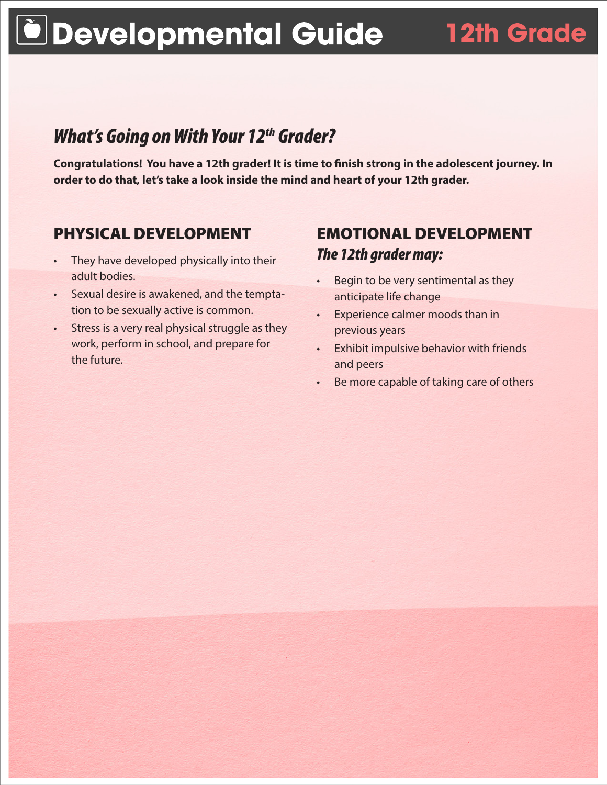# **Developmental Guide 12th Grade**

## *What's Going on With Your 12th Grader?*

**Congratulations! You have a 12th grader! It is time to finish strong in the adolescent journey. In order to do that, let's take a look inside the mind and heart of your 12th grader.**

#### PHYSICAL DEVELOPMENT

- They have developed physically into their adult bodies.
- • Sexual desire is awakened, and the temptation to be sexually active is common.
- Stress is a very real physical struggle as they work, perform in school, and prepare for the future.

### EMOTIONAL DEVELOPMENT *The 12th grader may:*

- • Begin to be very sentimental as they anticipate life change
- Experience calmer moods than in previous years
- • Exhibit impulsive behavior with friends and peers
- • Be more capable of taking care of others